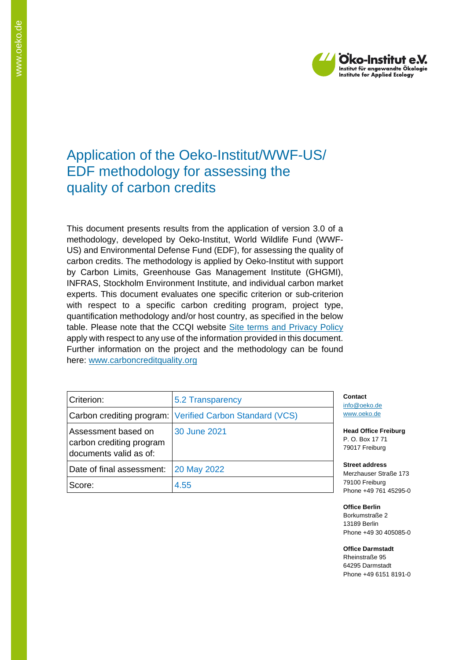

# Application of the Oeko-Institut/WWF-US/ EDF methodology for assessing the quality of carbon credits

This document presents results from the application of version 3.0 of a methodology, developed by Oeko-Institut, World Wildlife Fund (WWF-US) and Environmental Defense Fund (EDF), for assessing the quality of carbon credits. The methodology is applied by Oeko-Institut with support by Carbon Limits, Greenhouse Gas Management Institute (GHGMI), INFRAS, Stockholm Environment Institute, and individual carbon market experts. This document evaluates one specific criterion or sub-criterion with respect to a specific carbon crediting program, project type, quantification methodology and/or host country, as specified in the below table. Please note that the CCQI website [Site terms and Privacy Policy](https://carboncreditquality.org/terms.html) apply with respect to any use of the information provided in this document. Further information on the project and the methodology can be found here: [www.carboncreditquality.org](http://www.carboncreditquality.org/)

| Criterion:                                                                | 5.2 Transparency                                         |  |  |
|---------------------------------------------------------------------------|----------------------------------------------------------|--|--|
|                                                                           | Carbon crediting program: Verified Carbon Standard (VCS) |  |  |
| Assessment based on<br>carbon crediting program<br>documents valid as of: | 30 June 2021                                             |  |  |
| Date of final assessment:                                                 | 20 May 2022                                              |  |  |
| Score:                                                                    | 4.55                                                     |  |  |

**Contact** [info@oeko.de](mailto:info@oeko.de) [www.oeko.de](http://www.oeko.de/)

**Head Office Freiburg** P. O. Box 17 71 79017 Freiburg

**Street address** Merzhauser Straße 173 79100 Freiburg Phone +49 761 45295-0

**Office Berlin** Borkumstraße 2 13189 Berlin Phone +49 30 405085-0

**Office Darmstadt** Rheinstraße 95 64295 Darmstadt Phone +49 6151 8191-0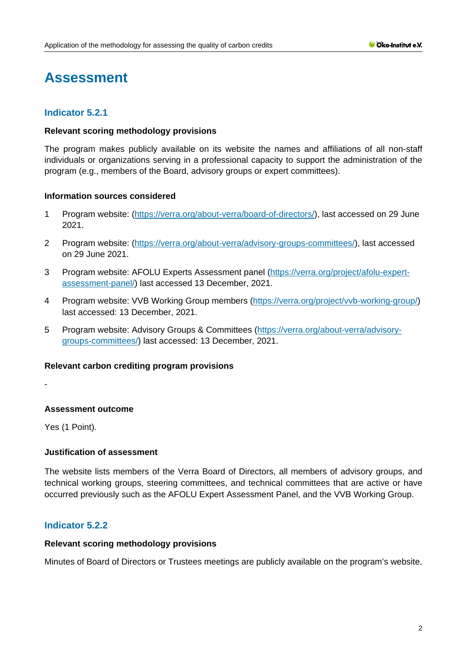# **Assessment**

# **Indicator 5.2.1**

# **Relevant scoring methodology provisions**

The program makes publicly available on its website the names and affiliations of all non-staff individuals or organizations serving in a professional capacity to support the administration of the program (e.g., members of the Board, advisory groups or expert committees).

# **Information sources considered**

- 1 Program website: [\(https://verra.org/about-verra/board-of-directors/\)](https://verra.org/about-verra/board-of-directors/), last accessed on 29 June 2021.
- 2 Program website: [\(https://verra.org/about-verra/advisory-groups-committees/\)](https://verra.org/about-verra/advisory-groups-committees/), last accessed on 29 June 2021.
- 3 Program website: AFOLU Experts Assessment panel [\(https://verra.org/project/afolu-expert](https://verra.org/project/afolu-expert-assessment-panel/)[assessment-panel/\)](https://verra.org/project/afolu-expert-assessment-panel/) last accessed 13 December, 2021.
- 4 Program website: VVB Working Group members [\(https://verra.org/project/vvb-working-group/\)](https://verra.org/project/vvb-working-group/) last accessed: 13 December, 2021.
- 5 Program website: Advisory Groups & Committees [\(https://verra.org/about-verra/advisory](https://verra.org/about-verra/advisory-groups-committees/)[groups-committees/\)](https://verra.org/about-verra/advisory-groups-committees/) last accessed: 13 December, 2021.

# **Relevant carbon crediting program provisions**

-

# **Assessment outcome**

Yes (1 Point).

# **Justification of assessment**

The website lists members of the Verra Board of Directors, all members of advisory groups, and technical working groups, steering committees, and technical committees that are active or have occurred previously such as the AFOLU Expert Assessment Panel, and the VVB Working Group.

# **Indicator 5.2.2**

#### **Relevant scoring methodology provisions**

Minutes of Board of Directors or Trustees meetings are publicly available on the program's website.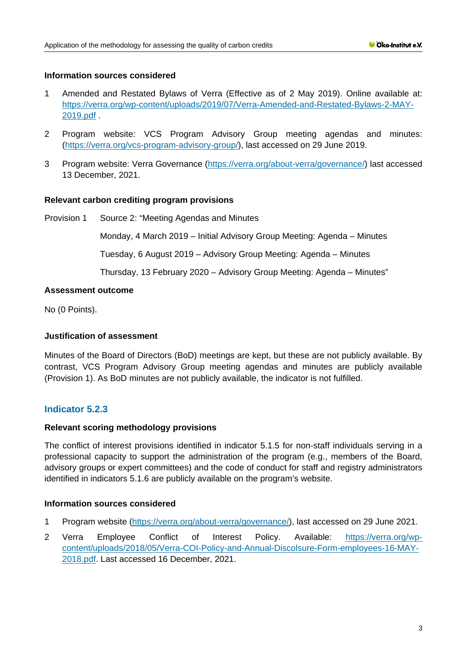# **Information sources considered**

- 1 Amended and Restated Bylaws of Verra (Effective as of 2 May 2019). Online available at: [https://verra.org/wp-content/uploads/2019/07/Verra-Amended-and-Restated-Bylaws-2-MAY-](https://verra.org/wp-content/uploads/2019/07/Verra-Amended-and-Restated-Bylaws-2-MAY-2019.pdf)[2019.pdf](https://verra.org/wp-content/uploads/2019/07/Verra-Amended-and-Restated-Bylaws-2-MAY-2019.pdf) .
- 2 Program website: VCS Program Advisory Group meeting agendas and minutes: [\(https://verra.org/vcs-program-advisory-group/\)](https://verra.org/vcs-program-advisory-group/), last accessed on 29 June 2019.
- 3 Program website: Verra Governance [\(https://verra.org/about-verra/governance/\)](https://verra.org/about-verra/governance/) last accessed 13 December, 2021.

#### **Relevant carbon crediting program provisions**

Provision 1 Source 2: "Meeting Agendas and Minutes

Monday, 4 March 2019 – Initial Advisory Group Meeting: [Agenda](https://verra.org/wp-content/uploads/2019/03/VCS-Program-Advisory-Group-Agenda-4-MAR-2019.pdf) – [Minutes](https://verra.org/wp-content/uploads/2019/03/VCS-Program-Advisory-Group-Minutes-4-MAR-2019.pdf)

Tuesday, 6 August 2019 – Advisory Group Meeting: [Agenda](https://verra.org/wp-content/uploads/2019/09/VCS-Program-Advisory-Group-Agenda-6-AUG-2019.pdf) – [Minutes](https://verra.org/wp-content/uploads/2019/09/VCS-Program-Advisory-Group-Minutes-6-AUG-2019.pdf)

Thursday, 13 February 2020 – Advisory Group Meeting: [Agenda](https://verra.org/wp-content/uploads/2020/04/VCS-Program-Advisory-Group-Agenda-13-FEB-2020.pdf) – [Minutes"](https://verra.org/wp-content/uploads/2020/04/VCS-Program-Advisory-Group-Minutes-13-FEB-2020.pdf)

# **Assessment outcome**

No (0 Points).

# **Justification of assessment**

Minutes of the Board of Directors (BoD) meetings are kept, but these are not publicly available. By contrast, VCS Program Advisory Group meeting agendas and minutes are publicly available (Provision 1). As BoD minutes are not publicly available, the indicator is not fulfilled.

# **Indicator 5.2.3**

# **Relevant scoring methodology provisions**

The conflict of interest provisions identified in indicator 5.1.5 for non-staff individuals serving in a professional capacity to support the administration of the program (e.g., members of the Board, advisory groups or expert committees) and the code of conduct for staff and registry administrators identified in indicators 5.1.6 are publicly available on the program's website.

# **Information sources considered**

- 1 Program website [\(https://verra.org/about-verra/governance/\)](https://verra.org/about-verra/governance/), last accessed on 29 June 2021.
- 2 Verra Employee Conflict of Interest Policy. Available: [https://verra.org/wp](https://verra.org/wp-content/uploads/2018/05/Verra-COI-Policy-and-Annual-Discolsure-Form-employees-16-MAY-2018.pdf)[content/uploads/2018/05/Verra-COI-Policy-and-Annual-Discolsure-Form-employees-16-MAY-](https://verra.org/wp-content/uploads/2018/05/Verra-COI-Policy-and-Annual-Discolsure-Form-employees-16-MAY-2018.pdf)[2018.pdf.](https://verra.org/wp-content/uploads/2018/05/Verra-COI-Policy-and-Annual-Discolsure-Form-employees-16-MAY-2018.pdf) Last accessed 16 December, 2021.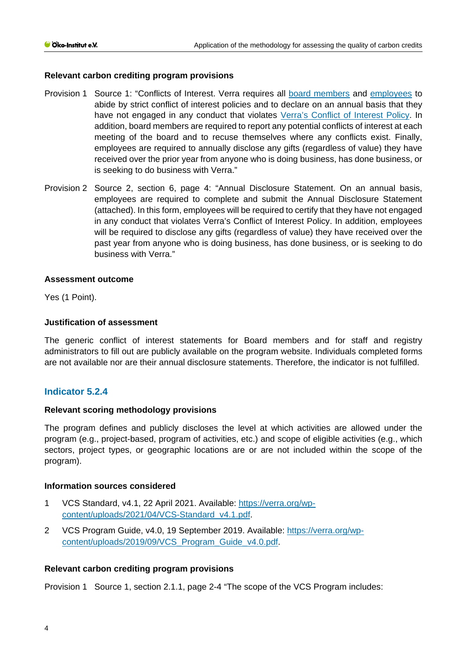# **Relevant carbon crediting program provisions**

- Provision 1 Source 1: "Conflicts of Interest. Verra requires all [board members](https://verra.org/wp-content/uploads/2018/05/VERRA-Conflict-of-Interest-Policy-Disclosure-Statement-Directors-Officers-MAY-2018.pdf) and [employees](https://verra.org/wp-content/uploads/2018/05/Verra-COI-Policy-and-Annual-Discolsure-Form-employees-16-MAY-2018.pdf) to abide by strict conflict of interest policies and to declare on an annual basis that they have not engaged in any conduct that violates [Verra's Conflict of Interest Policy.](https://verra.org/wp-content/uploads/2018/05/VERRA-Conflict-of-Interest-Policy-Disclosure-Statement-Directors-Officers-MAY-2018.pdf) In addition, board members are required to report any potential conflicts of interest at each meeting of the board and to recuse themselves where any conflicts exist. Finally, employees are required to annually disclose any gifts (regardless of value) they have received over the prior year from anyone who is doing business, has done business, or is seeking to do business with Verra."
- Provision 2 Source 2, section 6, page 4: "Annual Disclosure Statement. On an annual basis, employees are required to complete and submit the Annual Disclosure Statement (attached). In this form, employees will be required to certify that they have not engaged in any conduct that violates Verra's Conflict of Interest Policy. In addition, employees will be required to disclose any gifts (regardless of value) they have received over the past year from anyone who is doing business, has done business, or is seeking to do business with Verra."

#### **Assessment outcome**

Yes (1 Point).

# **Justification of assessment**

The generic conflict of interest statements for Board members and for staff and registry administrators to fill out are publicly available on the program website. Individuals completed forms are not available nor are their annual disclosure statements. Therefore, the indicator is not fulfilled.

# **Indicator 5.2.4**

#### **Relevant scoring methodology provisions**

The program defines and publicly discloses the level at which activities are allowed under the program (e.g., project-based, program of activities, etc.) and scope of eligible activities (e.g., which sectors, project types, or geographic locations are or are not included within the scope of the program).

#### **Information sources considered**

- 1 VCS Standard, v4.1, 22 April 2021. Available: [https://verra.org/wp](https://verra.org/wp-content/uploads/2021/04/VCS-Standard_v4.1.pdf)[content/uploads/2021/04/VCS-Standard\\_v4.1.pdf.](https://verra.org/wp-content/uploads/2021/04/VCS-Standard_v4.1.pdf)
- 2 VCS Program Guide, v4.0, 19 September 2019. Available: [https://verra.org/wp](https://verra.org/wp-content/uploads/2019/09/VCS_Program_Guide_v4.0.pdf)[content/uploads/2019/09/VCS\\_Program\\_Guide\\_v4.0.pdf.](https://verra.org/wp-content/uploads/2019/09/VCS_Program_Guide_v4.0.pdf)

# **Relevant carbon crediting program provisions**

Provision 1 Source 1, section 2.1.1, page 2-4 "The scope of the VCS Program includes: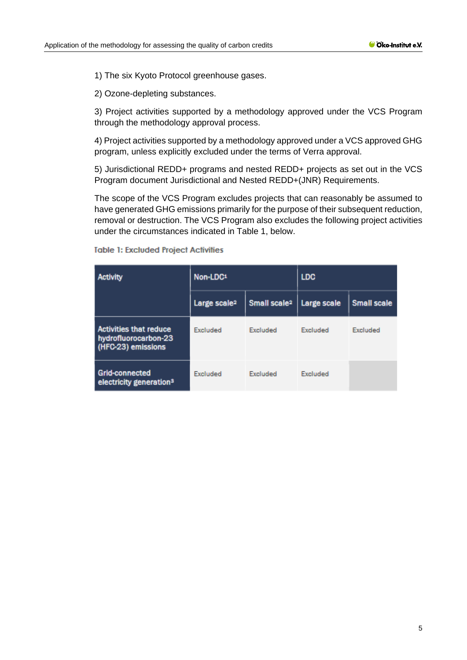1) The six Kyoto Protocol greenhouse gases.

2) Ozone-depleting substances.

3) Project activities supported by a methodology approved under the VCS Program through the methodology approval process.

4) Project activities supported by a methodology approved under a VCS approved GHG program, unless explicitly excluded under the terms of Verra approval.

5) Jurisdictional REDD+ programs and nested REDD+ projects as set out in the VCS Program document Jurisdictional and Nested REDD+(JNR) Requirements.

The scope of the VCS Program excludes projects that can reasonably be assumed to have generated GHG emissions primarily for the purpose of their subsequent reduction, removal or destruction. The VCS Program also excludes the following project activities under the circumstances indicated in Table 1, below.

| <b>Activity</b>                                                             | Non-LDC <sub>1</sub>     |                          | <b>LDC</b>      |                    |
|-----------------------------------------------------------------------------|--------------------------|--------------------------|-----------------|--------------------|
|                                                                             | Large scale <sup>2</sup> | Small scale <sup>2</sup> | Large scale     | <b>Small scale</b> |
| <b>Activities that reduce</b><br>hydrofluorocarbon-23<br>(HFC-23) emissions | <b>Excluded</b>          | Excluded                 | <b>Excluded</b> | Excluded           |
| <b>Grid-connected</b><br>electricity generation <sup>3</sup>                | Excluded                 | Excluded                 | Excluded        |                    |

**Table 1: Excluded Project Activities**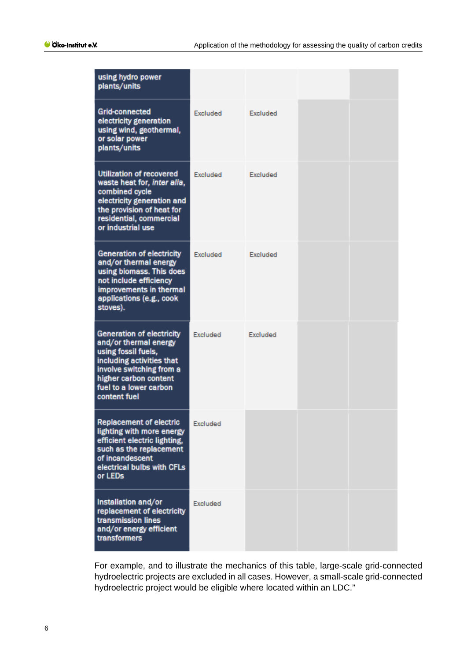| using hydro power<br>plants/units                                                                                                                                                                            |                 |          |  |
|--------------------------------------------------------------------------------------------------------------------------------------------------------------------------------------------------------------|-----------------|----------|--|
| <b>Grid-connected</b><br>electricity generation<br>using wind, geothermal,<br>or solar power<br>plants/units                                                                                                 | Excluded        | Excluded |  |
| Utilization of recovered<br>waste heat for, inter alia,<br>combined cycle<br>electricity generation and<br>the provision of heat for<br>residential, commercial<br>or industrial use                         | Excluded        | Excluded |  |
| <b>Generation of electricity</b><br>and/or thermal energy<br>using biomass. This does<br>not include efficiency<br>improvements in thermal<br>applications (e.g., cook<br>stoves).                           | Excluded        | Excluded |  |
| <b>Generation of electricity</b><br>and/or thermal energy<br>using fossil fuels,<br>including activities that<br>involve switching from a<br>higher carbon content<br>fuel to a lower carbon<br>content fuel | Excluded        | Excluded |  |
| <b>Replacement of electric</b><br>lighting with more energy<br>efficient electric lighting,<br>such as the replacement<br>of incandescent<br>electrical bulbs with CFLs<br>or LEDs                           | Excluded        |          |  |
| Installation and/or<br>replacement of electricity<br>transmission lines<br>and/or energy efficient<br>transformers                                                                                           | <b>Excluded</b> |          |  |

For example, and to illustrate the mechanics of this table, large-scale grid-connected hydroelectric projects are excluded in all cases. However, a small-scale grid-connected hydroelectric project would be eligible where located within an LDC."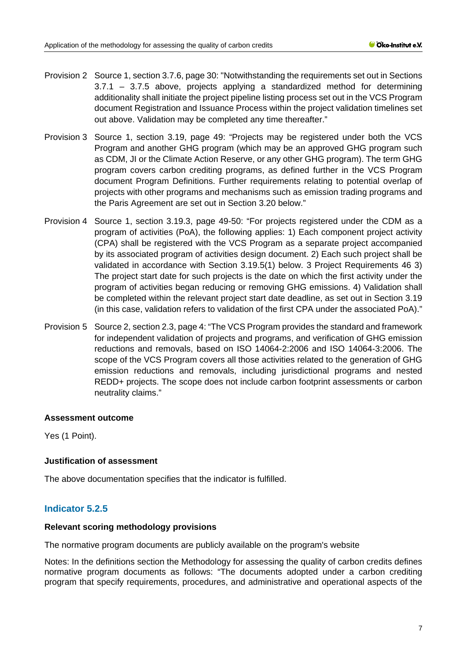- Provision 2 Source 1, section 3.7.6, page 30: "Notwithstanding the requirements set out in Sections 3.7.1 – 3.7.5 above, projects applying a standardized method for determining additionality shall initiate the project pipeline listing process set out in the VCS Program document Registration and Issuance Process within the project validation timelines set out above. Validation may be completed any time thereafter."
- Provision 3 Source 1, section 3.19, page 49: "Projects may be registered under both the VCS Program and another GHG program (which may be an approved GHG program such as CDM, JI or the Climate Action Reserve, or any other GHG program). The term GHG program covers carbon crediting programs, as defined further in the VCS Program document Program Definitions. Further requirements relating to potential overlap of projects with other programs and mechanisms such as emission trading programs and the Paris Agreement are set out in Section 3.20 below."
- Provision 4 Source 1, section 3.19.3, page 49-50: "For projects registered under the CDM as a program of activities (PoA), the following applies: 1) Each component project activity (CPA) shall be registered with the VCS Program as a separate project accompanied by its associated program of activities design document. 2) Each such project shall be validated in accordance with Section 3.19.5(1) below. 3 Project Requirements 46 3) The project start date for such projects is the date on which the first activity under the program of activities began reducing or removing GHG emissions. 4) Validation shall be completed within the relevant project start date deadline, as set out in Section 3.19 (in this case, validation refers to validation of the first CPA under the associated PoA)."
- Provision 5 Source 2, section 2.3, page 4: "The VCS Program provides the standard and framework for independent validation of projects and programs, and verification of GHG emission reductions and removals, based on ISO 14064-2:2006 and ISO 14064-3:2006. The scope of the VCS Program covers all those activities related to the generation of GHG emission reductions and removals, including jurisdictional programs and nested REDD+ projects. The scope does not include carbon footprint assessments or carbon neutrality claims."

Yes (1 Point).

# **Justification of assessment**

The above documentation specifies that the indicator is fulfilled.

# **Indicator 5.2.5**

#### **Relevant scoring methodology provisions**

The normative program documents are publicly available on the program's website

Notes: In the definitions section the Methodology for assessing the quality of carbon credits defines normative program documents as follows: "The documents adopted under a carbon crediting program that specify requirements, procedures, and administrative and operational aspects of the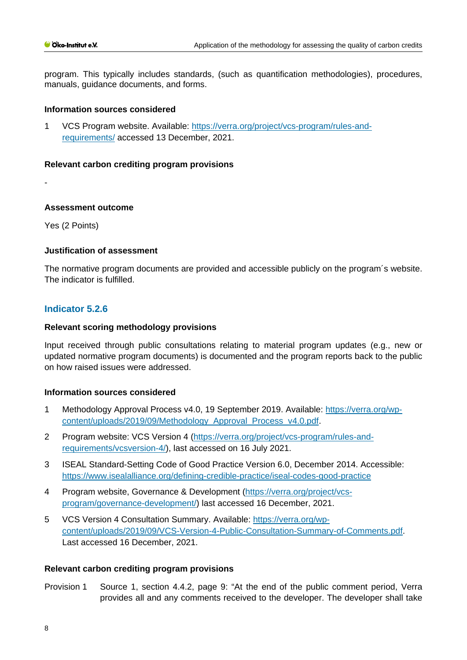program. This typically includes standards, (such as quantification methodologies), procedures, manuals, quidance documents, and forms.

# **Information sources considered**

1 VCS Program website. Available: [https://verra.org/project/vcs-program/rules-and](https://verra.org/project/vcs-program/rules-and-requirements/)[requirements/](https://verra.org/project/vcs-program/rules-and-requirements/) accessed 13 December, 2021.

#### **Relevant carbon crediting program provisions**

-

#### **Assessment outcome**

Yes (2 Points)

#### **Justification of assessment**

The normative program documents are provided and accessible publicly on the program´s website. The indicator is fulfilled.

# **Indicator 5.2.6**

#### **Relevant scoring methodology provisions**

Input received through public consultations relating to material program updates (e.g., new or updated normative program documents) is documented and the program reports back to the public on how raised issues were addressed.

# **Information sources considered**

- 1 Methodology Approval Process v4.0, 19 September 2019. Available: [https://verra.org/wp](https://verra.org/wp-content/uploads/2019/09/Methodology_Approval_Process_v4.0.pdf)[content/uploads/2019/09/Methodology\\_Approval\\_Process\\_v4.0.pdf.](https://verra.org/wp-content/uploads/2019/09/Methodology_Approval_Process_v4.0.pdf)
- 2 Program website: VCS Version 4 [\(https://verra.org/project/vcs-program/rules-and](https://verra.org/project/vcs-program/rules-and-requirements/vcsversion-4/)[requirements/vcsversion-4/\)](https://verra.org/project/vcs-program/rules-and-requirements/vcsversion-4/), last accessed on 16 July 2021.
- 3 ISEAL Standard-Setting Code of Good Practice Version 6.0, December 2014. Accessible: <https://www.isealalliance.org/defining-credible-practice/iseal-codes-good-practice>
- 4 Program website, Governance & Development [\(https://verra.org/project/vcs](https://verra.org/project/vcs-program/governance-development/)[program/governance-development/\)](https://verra.org/project/vcs-program/governance-development/) last accessed 16 December, 2021.
- 5 VCS Version 4 Consultation Summary. Available: [https://verra.org/wp](https://verra.org/wp-content/uploads/2019/09/VCS-Version-4-Public-Consultation-Summary-of-Comments.pdf)[content/uploads/2019/09/VCS-Version-4-Public-Consultation-Summary-of-Comments.pdf.](https://verra.org/wp-content/uploads/2019/09/VCS-Version-4-Public-Consultation-Summary-of-Comments.pdf) Last accessed 16 December, 2021.

#### **Relevant carbon crediting program provisions**

Provision 1 Source 1, section 4.4.2, page 9: "At the end of the public comment period, Verra provides all and any comments received to the developer. The developer shall take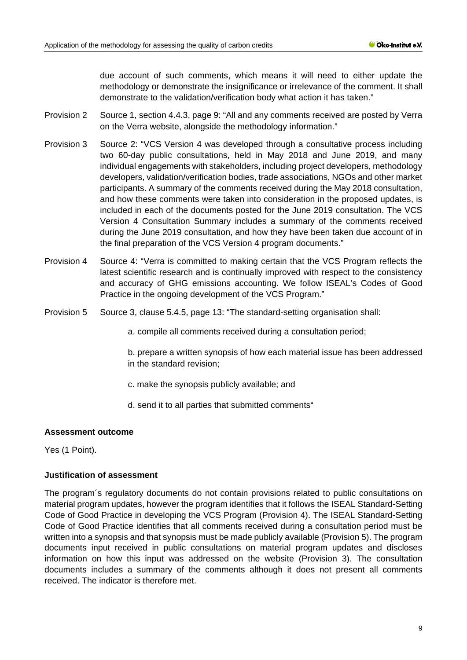due account of such comments, which means it will need to either update the methodology or demonstrate the insignificance or irrelevance of the comment. It shall demonstrate to the validation/verification body what action it has taken."

- Provision 2 Source 1, section 4.4.3, page 9: "All and any comments received are posted by Verra on the Verra website, alongside the methodology information."
- Provision 3 Source 2: "VCS Version 4 was developed through a consultative process including two 60-day public consultations, held in May 2018 and June 2019, and many individual engagements with stakeholders, including project developers, methodology developers, validation/verification bodies, trade associations, NGOs and other market participants. A summary of the comments received during the May 2018 consultation, and how these comments were taken into consideration in the proposed updates, is included in each of the documents posted for the June 2019 consultation. The VCS Version 4 Consultation Summary includes a summary of the comments received during the June 2019 consultation, and how they have been taken due account of in the final preparation of the VCS Version 4 program documents."
- Provision 4 Source 4: "Verra is committed to making certain that the VCS Program reflects the latest scientific research and is continually improved with respect to the consistency and accuracy of GHG emissions accounting. We follow ISEAL's Codes of Good Practice in the ongoing development of the VCS Program."
- Provision 5 Source 3, clause 5.4.5, page 13: "The standard-setting organisation shall:
	- a. compile all comments received during a consultation period;
	- b. prepare a written synopsis of how each material issue has been addressed in the standard revision;
	- c. make the synopsis publicly available; and
	- d. send it to all parties that submitted comments"

# **Assessment outcome**

Yes (1 Point).

# **Justification of assessment**

The program´s regulatory documents do not contain provisions related to public consultations on material program updates, however the program identifies that it follows the ISEAL Standard-Setting Code of Good Practice in developing the VCS Program (Provision 4). The ISEAL Standard-Setting Code of Good Practice identifies that all comments received during a consultation period must be written into a synopsis and that synopsis must be made publicly available (Provision 5). The program documents input received in public consultations on material program updates and discloses information on how this input was addressed on the website (Provision 3). The consultation documents includes a summary of the comments although it does not present all comments received. The indicator is therefore met.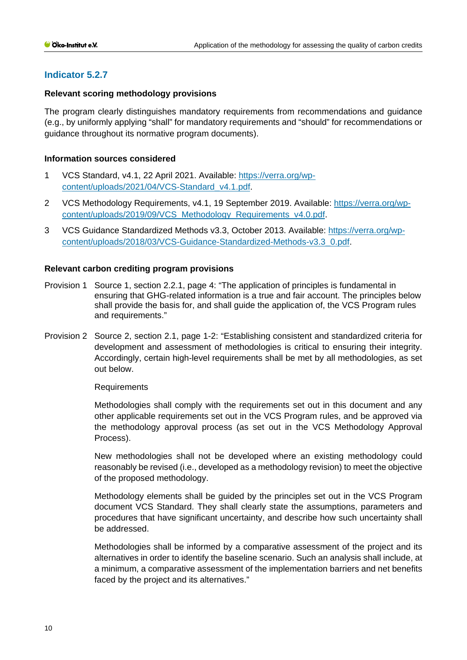# **Indicator 5.2.7**

# **Relevant scoring methodology provisions**

The program clearly distinguishes mandatory requirements from recommendations and guidance (e.g., by uniformly applying "shall" for mandatory requirements and "should" for recommendations or guidance throughout its normative program documents).

# **Information sources considered**

- 1 VCS Standard, v4.1, 22 April 2021. Available: [https://verra.org/wp](https://verra.org/wp-content/uploads/2021/04/VCS-Standard_v4.1.pdf)[content/uploads/2021/04/VCS-Standard\\_v4.1.pdf.](https://verra.org/wp-content/uploads/2021/04/VCS-Standard_v4.1.pdf)
- 2 VCS Methodology Requirements, v4.1, 19 September 2019. Available: [https://verra.org/wp](https://verra.org/wp-content/uploads/2019/09/VCS_Methodology_Requirements_v4.0.pdf)[content/uploads/2019/09/VCS\\_Methodology\\_Requirements\\_v4.0.pdf.](https://verra.org/wp-content/uploads/2019/09/VCS_Methodology_Requirements_v4.0.pdf)
- 3 VCS Guidance Standardized Methods v3.3, October 2013. Available: [https://verra.org/wp](https://verra.org/wp-content/uploads/2018/03/VCS-Guidance-Standardized-Methods-v3.3_0.pdf)[content/uploads/2018/03/VCS-Guidance-Standardized-Methods-v3.3\\_0.pdf.](https://verra.org/wp-content/uploads/2018/03/VCS-Guidance-Standardized-Methods-v3.3_0.pdf)

# **Relevant carbon crediting program provisions**

- Provision 1 Source 1, section 2.2.1, page 4: "The application of principles is fundamental in ensuring that GHG-related information is a true and fair account. The principles below shall provide the basis for, and shall guide the application of, the VCS Program rules and requirements."
- Provision 2 Source 2, section 2.1, page 1-2: "Establishing consistent and standardized criteria for development and assessment of methodologies is critical to ensuring their integrity. Accordingly, certain high-level requirements shall be met by all methodologies, as set out below.

#### Requirements

Methodologies shall comply with the requirements set out in this document and any other applicable requirements set out in the VCS Program rules, and be approved via the methodology approval process (as set out in the VCS Methodology Approval Process).

New methodologies shall not be developed where an existing methodology could reasonably be revised (i.e., developed as a methodology revision) to meet the objective of the proposed methodology.

Methodology elements shall be guided by the principles set out in the VCS Program document VCS Standard. They shall clearly state the assumptions, parameters and procedures that have significant uncertainty, and describe how such uncertainty shall be addressed.

Methodologies shall be informed by a comparative assessment of the project and its alternatives in order to identify the baseline scenario. Such an analysis shall include, at a minimum, a comparative assessment of the implementation barriers and net benefits faced by the project and its alternatives."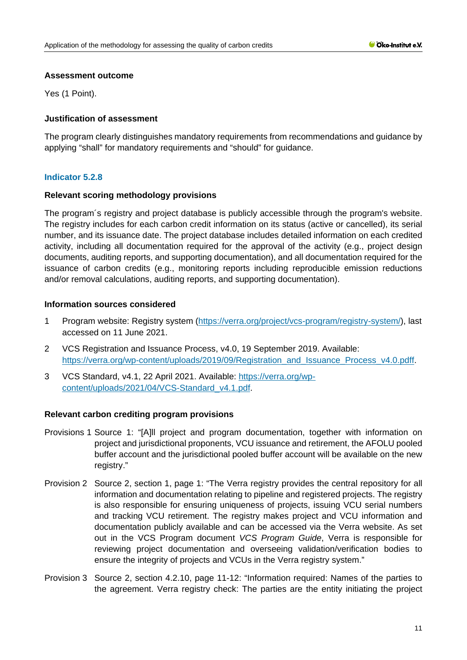Yes (1 Point).

# **Justification of assessment**

The program clearly distinguishes mandatory requirements from recommendations and guidance by applying "shall" for mandatory requirements and "should" for guidance.

# **Indicator 5.2.8**

# **Relevant scoring methodology provisions**

The program´s registry and project database is publicly accessible through the program's website. The registry includes for each carbon credit information on its status (active or cancelled), its serial number, and its issuance date. The project database includes detailed information on each credited activity, including all documentation required for the approval of the activity (e.g., project design documents, auditing reports, and supporting documentation), and all documentation required for the issuance of carbon credits (e.g., monitoring reports including reproducible emission reductions and/or removal calculations, auditing reports, and supporting documentation).

# **Information sources considered**

- 1 Program website: Registry system [\(https://verra.org/project/vcs-program/registry-system/\)](https://verra.org/project/vcs-program/registry-system/), last accessed on 11 June 2021.
- 2 VCS Registration and Issuance Process, v4.0, 19 September 2019. Available: [https://verra.org/wp-content/uploads/2019/09/Registration\\_and\\_Issuance\\_Process\\_v4.0.pdff.](https://verra.org/wp-content/uploads/2019/09/Registration_and_Issuance_Process_v4.0.pdff)
- 3 VCS Standard, v4.1, 22 April 2021. Available: [https://verra.org/wp](https://verra.org/wp-content/uploads/2021/04/VCS-Standard_v4.1.pdf)[content/uploads/2021/04/VCS-Standard\\_v4.1.pdf.](https://verra.org/wp-content/uploads/2021/04/VCS-Standard_v4.1.pdf)

# **Relevant carbon crediting program provisions**

- Provisions 1 Source 1: "[A]ll project and program documentation, together with information on project and jurisdictional proponents, VCU issuance and retirement, the AFOLU pooled buffer account and the jurisdictional pooled buffer account will be available on the new registry."
- Provision 2 Source 2, section 1, page 1: "The Verra registry provides the central repository for all information and documentation relating to pipeline and registered projects. The registry is also responsible for ensuring uniqueness of projects, issuing VCU serial numbers and tracking VCU retirement. The registry makes project and VCU information and documentation publicly available and can be accessed via the Verra website. As set out in the VCS Program document *VCS Program Guide*, Verra is responsible for reviewing project documentation and overseeing validation/verification bodies to ensure the integrity of projects and VCUs in the Verra registry system."
- Provision 3 Source 2, section 4.2.10, page 11-12: "Information required: Names of the parties to the agreement. Verra registry check: The parties are the entity initiating the project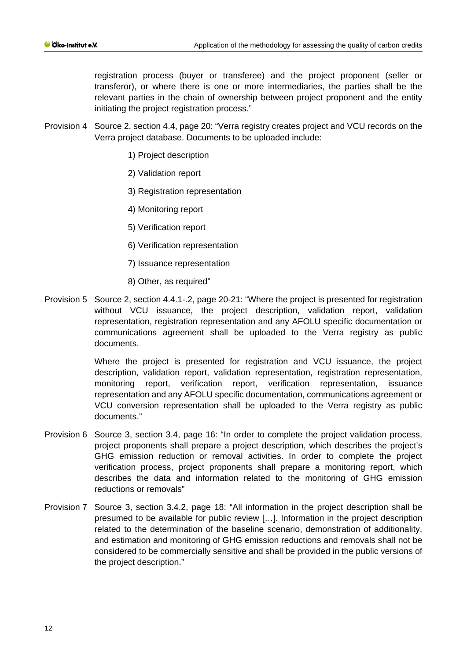registration process (buyer or transferee) and the project proponent (seller or transferor), or where there is one or more intermediaries, the parties shall be the relevant parties in the chain of ownership between project proponent and the entity initiating the project registration process."

- Provision 4 Source 2, section 4.4, page 20: "Verra registry creates project and VCU records on the Verra project database. Documents to be uploaded include:
	- 1) Project description
	- 2) Validation report
	- 3) Registration representation
	- 4) Monitoring report
	- 5) Verification report
	- 6) Verification representation
	- 7) Issuance representation
	- 8) Other, as required"
- Provision 5 Source 2, section 4.4.1-.2, page 20-21: "Where the project is presented for registration without VCU issuance, the project description, validation report, validation representation, registration representation and any AFOLU specific documentation or communications agreement shall be uploaded to the Verra registry as public documents.

Where the project is presented for registration and VCU issuance, the project description, validation report, validation representation, registration representation, monitoring report, verification report, verification representation, issuance representation and any AFOLU specific documentation, communications agreement or VCU conversion representation shall be uploaded to the Verra registry as public documents."

- Provision 6 Source 3, section 3.4, page 16: "In order to complete the project validation process, project proponents shall prepare a project description, which describes the project's GHG emission reduction or removal activities. In order to complete the project verification process, project proponents shall prepare a monitoring report, which describes the data and information related to the monitoring of GHG emission reductions or removals"
- Provision 7 Source 3, section 3.4.2, page 18: "All information in the project description shall be presumed to be available for public review […]. Information in the project description related to the determination of the baseline scenario, demonstration of additionality, and estimation and monitoring of GHG emission reductions and removals shall not be considered to be commercially sensitive and shall be provided in the public versions of the project description."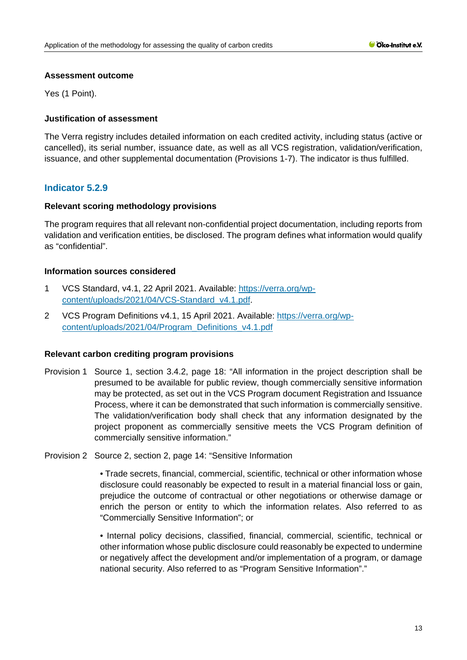Yes (1 Point).

# **Justification of assessment**

The Verra registry includes detailed information on each credited activity, including status (active or cancelled), its serial number, issuance date, as well as all VCS registration, validation/verification, issuance, and other supplemental documentation (Provisions 1-7). The indicator is thus fulfilled.

# **Indicator 5.2.9**

# **Relevant scoring methodology provisions**

The program requires that all relevant non-confidential project documentation, including reports from validation and verification entities, be disclosed. The program defines what information would qualify as "confidential".

# **Information sources considered**

- 1 VCS Standard, v4.1, 22 April 2021. Available: [https://verra.org/wp](https://verra.org/wp-content/uploads/2021/04/VCS-Standard_v4.1.pdf)[content/uploads/2021/04/VCS-Standard\\_v4.1.pdf.](https://verra.org/wp-content/uploads/2021/04/VCS-Standard_v4.1.pdf)
- 2 VCS Program Definitions v4.1, 15 April 2021. Available: [https://verra.org/wp](https://verra.org/wp-content/uploads/2021/04/Program_Definitions_v4.1.pdf)[content/uploads/2021/04/Program\\_Definitions\\_v4.1.pdf](https://verra.org/wp-content/uploads/2021/04/Program_Definitions_v4.1.pdf)

#### **Relevant carbon crediting program provisions**

- Provision 1 Source 1, section 3.4.2, page 18: "All information in the project description shall be presumed to be available for public review, though commercially sensitive information may be protected, as set out in the VCS Program document Registration and Issuance Process, where it can be demonstrated that such information is commercially sensitive. The validation/verification body shall check that any information designated by the project proponent as commercially sensitive meets the VCS Program definition of commercially sensitive information."
- Provision 2 Source 2, section 2, page 14: "Sensitive Information

• Trade secrets, financial, commercial, scientific, technical or other information whose disclosure could reasonably be expected to result in a material financial loss or gain, prejudice the outcome of contractual or other negotiations or otherwise damage or enrich the person or entity to which the information relates. Also referred to as "Commercially Sensitive Information"; or

• Internal policy decisions, classified, financial, commercial, scientific, technical or other information whose public disclosure could reasonably be expected to undermine or negatively affect the development and/or implementation of a program, or damage national security. Also referred to as "Program Sensitive Information"."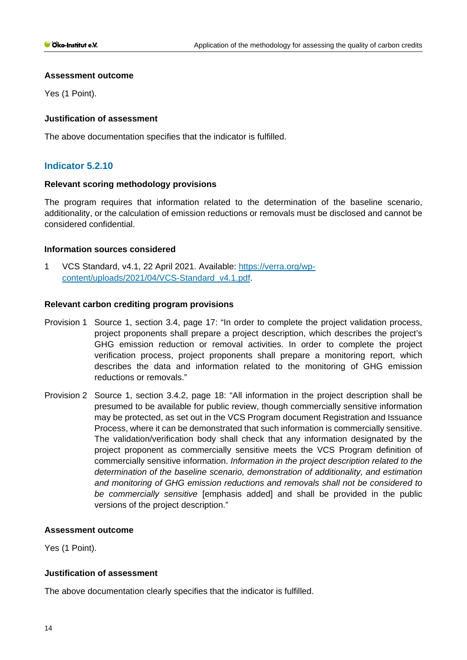Yes (1 Point).

# **Justification of assessment**

The above documentation specifies that the indicator is fulfilled.

# **Indicator 5.2.10**

# **Relevant scoring methodology provisions**

The program requires that information related to the determination of the baseline scenario, additionality, or the calculation of emission reductions or removals must be disclosed and cannot be considered confidential.

# **Information sources considered**

1 VCS Standard, v4.1, 22 April 2021. Available: [https://verra.org/wp](https://verra.org/wp-content/uploads/2021/04/VCS-Standard_v4.1.pdf)[content/uploads/2021/04/VCS-Standard\\_v4.1.pdf.](https://verra.org/wp-content/uploads/2021/04/VCS-Standard_v4.1.pdf)

# **Relevant carbon crediting program provisions**

- Provision 1 Source 1, section 3.4, page 17: "In order to complete the project validation process, project proponents shall prepare a project description, which describes the project's GHG emission reduction or removal activities. In order to complete the project verification process, project proponents shall prepare a monitoring report, which describes the data and information related to the monitoring of GHG emission reductions or removals."
- Provision 2 Source 1, section 3.4.2, page 18: "All information in the project description shall be presumed to be available for public review, though commercially sensitive information may be protected, as set out in the VCS Program document Registration and Issuance Process, where it can be demonstrated that such information is commercially sensitive. The validation/verification body shall check that any information designated by the project proponent as commercially sensitive meets the VCS Program definition of commercially sensitive information. *Information in the project description related to the determination of the baseline scenario, demonstration of additionality, and estimation and monitoring of GHG emission reductions and removals shall not be considered to be commercially sensitive* [emphasis added] and shall be provided in the public versions of the project description."

#### **Assessment outcome**

Yes (1 Point).

# **Justification of assessment**

The above documentation clearly specifies that the indicator is fulfilled.